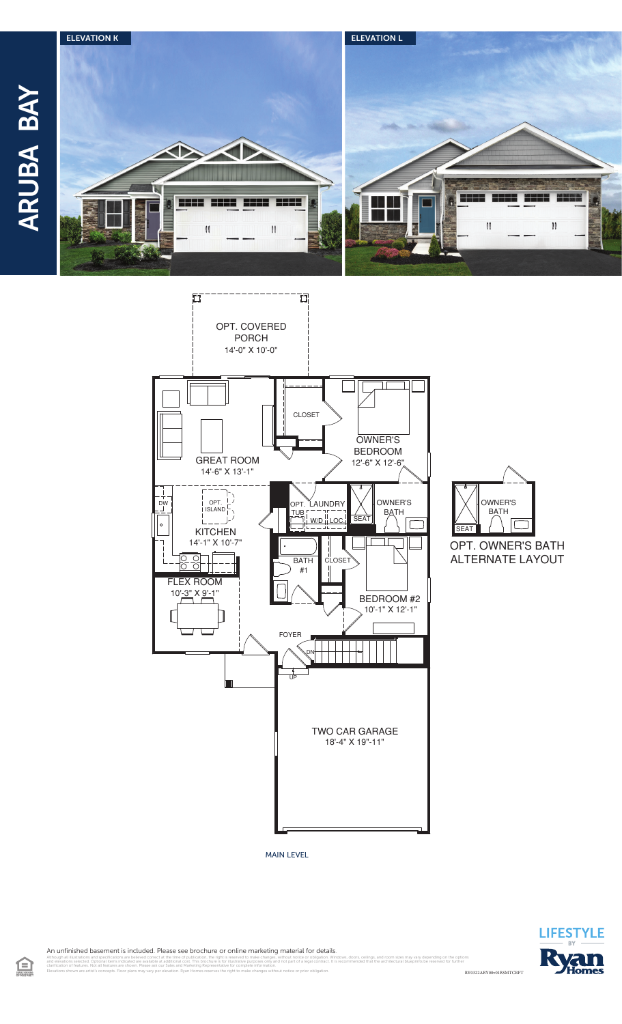



MAIN LEVEL



**BATH** 



An unfinished basement is included. Please see brochure or online marketing material for details.

旦

RY0322ABY00v01BSMTCRFT illustrations and specifications are believed correct at the time of publication, the right is reserved to make changes, without notice or obligation. Windows, doors, ceilings, and room sizes may vary depending on the opt<br>

clarification of features. Not all features are shown. Please ask our Sales and Marketing Representative for complete information. Elevations shown are artist's concepts. Floor plans may vary per elevation. Ryan Homes reserves the right to make changes without notice or prior obligation.